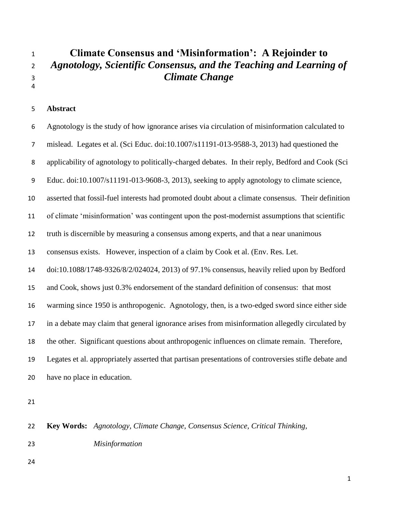# **Climate Consensus and 'Misinformation': A Rejoinder to** *Agnotology, Scientific Consensus, and the Teaching and Learning of Climate Change*

### **Abstract**

 Agnotology is the study of how ignorance arises via circulation of misinformation calculated to mislead. Legates et al. (Sci Educ. doi:10.1007/s11191-013-9588-3, 2013) had questioned the applicability of agnotology to politically-charged debates. In their reply, Bedford and Cook (Sci Educ. doi:10.1007/s11191-013-9608-3, 2013), seeking to apply agnotology to climate science, asserted that fossil-fuel interests had promoted doubt about a climate consensus. Their definition of climate 'misinformation' was contingent upon the post-modernist assumptions that scientific truth is discernible by measuring a consensus among experts, and that a near unanimous consensus exists. However, inspection of a claim by Cook et al. (Env. Res. Let. doi:10.1088/1748-9326/8/2/024024, 2013) of 97.1% consensus, heavily relied upon by Bedford and Cook, shows just 0.3% endorsement of the standard definition of consensus: that most warming since 1950 is anthropogenic. Agnotology, then, is a two-edged sword since either side in a debate may claim that general ignorance arises from misinformation allegedly circulated by the other. Significant questions about anthropogenic influences on climate remain. Therefore, Legates et al. appropriately asserted that partisan presentations of controversies stifle debate and have no place in education.

 **Key Words:** *Agnotology, Climate Change, Consensus Science, Critical Thinking, Misinformation*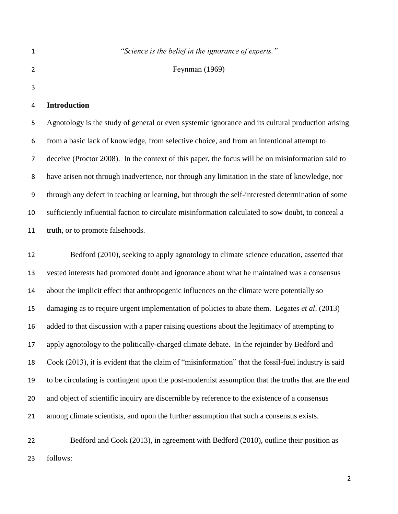|   | "Science is the belief in the ignorance of experts." |
|---|------------------------------------------------------|
| 2 | Feynman $(1969)$                                     |
| 3 |                                                      |

# **Introduction**

 Agnotology is the study of general or even systemic ignorance and its cultural production arising from a basic lack of knowledge, from selective choice, and from an intentional attempt to deceive (Proctor 2008). In the context of this paper, the focus will be on misinformation said to have arisen not through inadvertence, nor through any limitation in the state of knowledge, nor through any defect in teaching or learning, but through the self-interested determination of some sufficiently influential faction to circulate misinformation calculated to sow doubt, to conceal a truth, or to promote falsehoods.

 Bedford (2010), seeking to apply agnotology to climate science education, asserted that vested interests had promoted doubt and ignorance about what he maintained was a consensus about the implicit effect that anthropogenic influences on the climate were potentially so damaging as to require urgent implementation of policies to abate them. Legates *et al*. (2013) added to that discussion with a paper raising questions about the legitimacy of attempting to apply agnotology to the politically-charged climate debate. In the rejoinder by Bedford and Cook (2013), it is evident that the claim of "misinformation" that the fossil-fuel industry is said to be circulating is contingent upon the post-modernist assumption that the truths that are the end and object of scientific inquiry are discernible by reference to the existence of a consensus among climate scientists, and upon the further assumption that such a consensus exists.

 Bedford and Cook (2013), in agreement with Bedford (2010), outline their position as follows: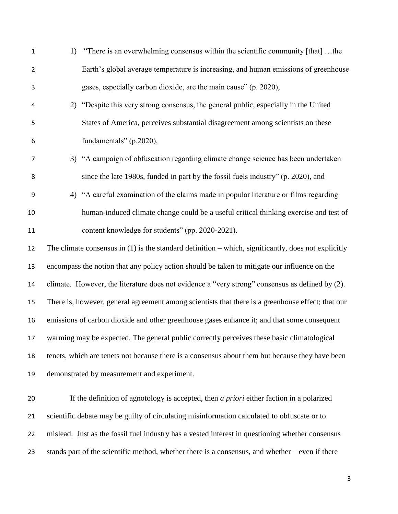| $\mathbf{1}$   | 1) | "There is an overwhelming consensus within the scientific community [that] the                        |
|----------------|----|-------------------------------------------------------------------------------------------------------|
| $\overline{2}$ |    | Earth's global average temperature is increasing, and human emissions of greenhouse                   |
| 3              |    | gases, especially carbon dioxide, are the main cause" (p. 2020),                                      |
| 4              | 2) | "Despite this very strong consensus, the general public, especially in the United                     |
| 5              |    | States of America, perceives substantial disagreement among scientists on these                       |
| 6              |    | fundamentals" (p.2020),                                                                               |
| $\overline{7}$ |    | 3) "A campaign of obfuscation regarding climate change science has been undertaken                    |
| 8              |    | since the late 1980s, funded in part by the fossil fuels industry" (p. 2020), and                     |
| 9              | 4) | "A careful examination of the claims made in popular literature or films regarding                    |
| 10             |    | human-induced climate change could be a useful critical thinking exercise and test of                 |
| 11             |    | content knowledge for students" (pp. 2020-2021).                                                      |
| 12             |    | The climate consensus in $(1)$ is the standard definition – which, significantly, does not explicitly |
| 13             |    | encompass the notion that any policy action should be taken to mitigate our influence on the          |
| 14             |    | climate. However, the literature does not evidence a "very strong" consensus as defined by (2).       |
| 15             |    | There is, however, general agreement among scientists that there is a greenhouse effect; that our     |
| 16             |    | emissions of carbon dioxide and other greenhouse gases enhance it; and that some consequent           |
| 17             |    | warming may be expected. The general public correctly perceives these basic climatological            |
| 18             |    | tenets, which are tenets not because there is a consensus about them but because they have been       |
| 19             |    | demonstrated by measurement and experiment.                                                           |
| 20             |    | If the definition of agnotology is accepted, then <i>a priori</i> either faction in a polarized       |
| 21             |    | scientific debate may be guilty of circulating misinformation calculated to obfuscate or to           |
| 22             |    | mislead. Just as the fossil fuel industry has a vested interest in questioning whether consensus      |
| 23             |    | stands part of the scientific method, whether there is a consensus, and whether – even if there       |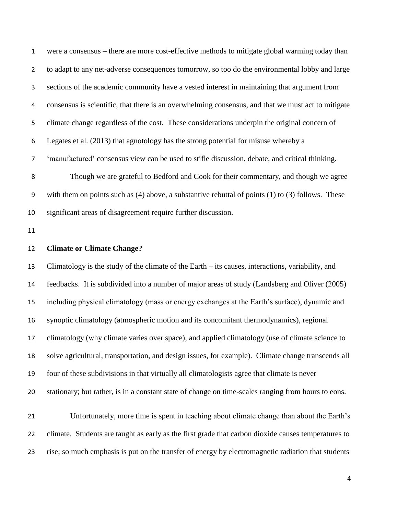were a consensus – there are more cost-effective methods to mitigate global warming today than to adapt to any net-adverse consequences tomorrow, so too do the environmental lobby and large sections of the academic community have a vested interest in maintaining that argument from consensus is scientific, that there is an overwhelming consensus, and that we must act to mitigate climate change regardless of the cost. These considerations underpin the original concern of Legates et al. (2013) that agnotology has the strong potential for misuse whereby a 'manufactured' consensus view can be used to stifle discussion, debate, and critical thinking. Though we are grateful to Bedford and Cook for their commentary, and though we agree with them on points such as (4) above, a substantive rebuttal of points (1) to (3) follows. These significant areas of disagreement require further discussion.

#### **Climate or Climate Change?**

 Climatology is the study of the climate of the Earth – its causes, interactions, variability, and feedbacks. It is subdivided into a number of major areas of study (Landsberg and Oliver (2005) including physical climatology (mass or energy exchanges at the Earth's surface), dynamic and synoptic climatology (atmospheric motion and its concomitant thermodynamics), regional climatology (why climate varies over space), and applied climatology (use of climate science to solve agricultural, transportation, and design issues, for example). Climate change transcends all four of these subdivisions in that virtually all climatologists agree that climate is never stationary; but rather, is in a constant state of change on time-scales ranging from hours to eons.

 Unfortunately, more time is spent in teaching about climate change than about the Earth's climate. Students are taught as early as the first grade that carbon dioxide causes temperatures to rise; so much emphasis is put on the transfer of energy by electromagnetic radiation that students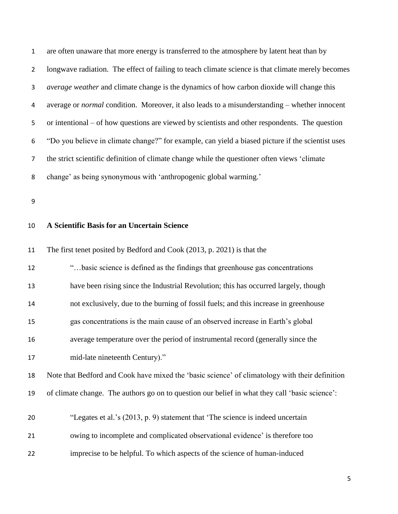are often unaware that more energy is transferred to the atmosphere by latent heat than by longwave radiation. The effect of failing to teach climate science is that climate merely becomes *average weather* and climate change is the dynamics of how carbon dioxide will change this average or *normal* condition. Moreover, it also leads to a misunderstanding – whether innocent or intentional – of how questions are viewed by scientists and other respondents. The question "Do you believe in climate change?" for example, can yield a biased picture if the scientist uses the strict scientific definition of climate change while the questioner often views 'climate change' as being synonymous with 'anthropogenic global warming.'

# **A Scientific Basis for an Uncertain Science**

11 The first tenet posited by Bedford and Cook (2013, p. 2021) is that the

| 12 | "basic science is defined as the findings that greenhouse gas concentrations                   |
|----|------------------------------------------------------------------------------------------------|
| 13 | have been rising since the Industrial Revolution; this has occurred largely, though            |
| 14 | not exclusively, due to the burning of fossil fuels; and this increase in greenhouse           |
| 15 | gas concentrations is the main cause of an observed increase in Earth's global                 |
| 16 | average temperature over the period of instrumental record (generally since the                |
| 17 | mid-late nineteenth Century)."                                                                 |
| 18 | Note that Bedford and Cook have mixed the 'basic science' of climatology with their definition |
| 19 | of climate change. The authors go on to question our belief in what they call 'basic science': |
| 20 | "Legates et al.'s (2013, p. 9) statement that 'The science is indeed uncertain                 |
| 21 | owing to incomplete and complicated observational evidence' is therefore too                   |
| 22 | imprecise to be helpful. To which aspects of the science of human-induced                      |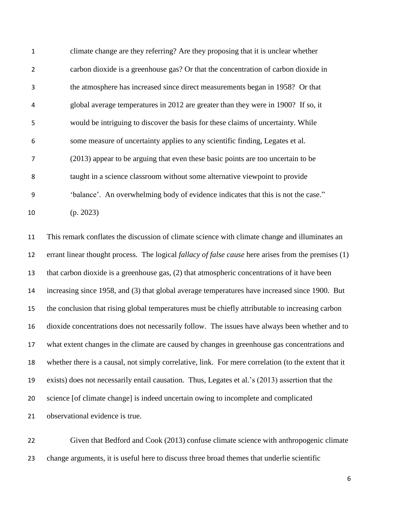| $\mathbf{1}$   | climate change are they referring? Are they proposing that it is unclear whether   |
|----------------|------------------------------------------------------------------------------------|
| $\overline{2}$ | carbon dioxide is a greenhouse gas? Or that the concentration of carbon dioxide in |
| 3              | the atmosphere has increased since direct measurements began in 1958? Or that      |
| 4              | global average temperatures in 2012 are greater than they were in 1900? If so, it  |
| 5              | would be intriguing to discover the basis for these claims of uncertainty. While   |
| 6              | some measure of uncertainty applies to any scientific finding, Legates et al.      |
| 7              | (2013) appear to be arguing that even these basic points are too uncertain to be   |
| 8              | taught in a science classroom without some alternative viewpoint to provide        |
| 9              | 'balance'. An overwhelming body of evidence indicates that this is not the case."  |
| 10             | (p. 2023)                                                                          |

 This remark conflates the discussion of climate science with climate change and illuminates an errant linear thought process. The logical *fallacy of false cause* here arises from the premises (1) that carbon dioxide is a greenhouse gas, (2) that atmospheric concentrations of it have been increasing since 1958, and (3) that global average temperatures have increased since 1900. But the conclusion that rising global temperatures must be chiefly attributable to increasing carbon dioxide concentrations does not necessarily follow. The issues have always been whether and to what extent changes in the climate are caused by changes in greenhouse gas concentrations and whether there is a causal, not simply correlative, link. For mere correlation (to the extent that it exists) does not necessarily entail causation. Thus, Legates et al.'s (2013) assertion that the science [of climate change] is indeed uncertain owing to incomplete and complicated observational evidence is true.

 Given that Bedford and Cook (2013) confuse climate science with anthropogenic climate change arguments, it is useful here to discuss three broad themes that underlie scientific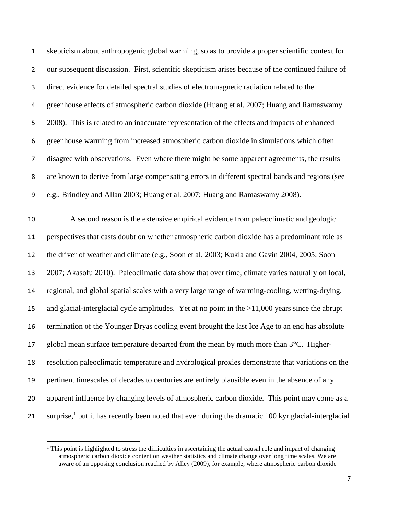skepticism about anthropogenic global warming, so as to provide a proper scientific context for our subsequent discussion. First, scientific skepticism arises because of the continued failure of direct evidence for detailed spectral studies of electromagnetic radiation related to the greenhouse effects of atmospheric carbon dioxide (Huang et al. 2007; Huang and Ramaswamy 2008). This is related to an inaccurate representation of the effects and impacts of enhanced greenhouse warming from increased atmospheric carbon dioxide in simulations which often disagree with observations. Even where there might be some apparent agreements, the results are known to derive from large compensating errors in different spectral bands and regions (see e.g., Brindley and Allan 2003; Huang et al. 2007; Huang and Ramaswamy 2008).

 A second reason is the extensive empirical evidence from paleoclimatic and geologic perspectives that casts doubt on whether atmospheric carbon dioxide has a predominant role as the driver of weather and climate (e.g., Soon et al. 2003; Kukla and Gavin 2004, 2005; Soon 2007; Akasofu 2010). Paleoclimatic data show that over time, climate varies naturally on local, regional, and global spatial scales with a very large range of warming-cooling, wetting-drying, and glacial-interglacial cycle amplitudes. Yet at no point in the >11,000 years since the abrupt termination of the Younger Dryas cooling event brought the last Ice Age to an end has absolute 17 global mean surface temperature departed from the mean by much more than  $3^{\circ}$ C. Higher- resolution paleoclimatic temperature and hydrological proxies demonstrate that variations on the pertinent timescales of decades to centuries are entirely plausible even in the absence of any apparent influence by changing levels of atmospheric carbon dioxide. This point may come as a 21 surprise,<sup>1</sup> but it has recently been noted that even during the dramatic 100 kyr glacial-interglacial

 $\overline{\phantom{a}}$ 

 $<sup>1</sup>$  This point is highlighted to stress the difficulties in ascertaining the actual causal role and impact of changing</sup> atmospheric carbon dioxide content on weather statistics and climate change over long time scales. We are aware of an opposing conclusion reached by Alley (2009), for example, where atmospheric carbon dioxide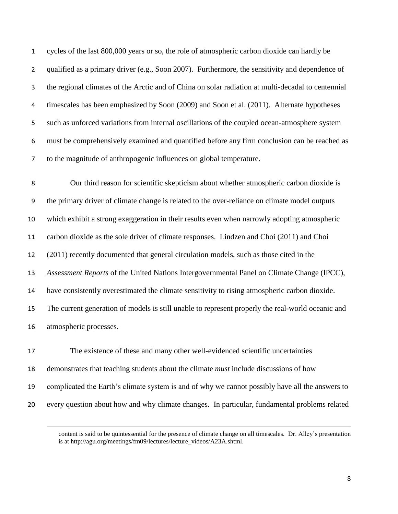cycles of the last 800,000 years or so, the role of atmospheric carbon dioxide can hardly be qualified as a primary driver (e.g., Soon 2007). Furthermore, the sensitivity and dependence of the regional climates of the Arctic and of China on solar radiation at multi-decadal to centennial timescales has been emphasized by Soon (2009) and Soon et al. (2011). Alternate hypotheses such as unforced variations from internal oscillations of the coupled ocean-atmosphere system must be comprehensively examined and quantified before any firm conclusion can be reached as to the magnitude of anthropogenic influences on global temperature.

 Our third reason for scientific skepticism about whether atmospheric carbon dioxide is the primary driver of climate change is related to the over-reliance on climate model outputs which exhibit a strong exaggeration in their results even when narrowly adopting atmospheric carbon dioxide as the sole driver of climate responses. Lindzen and Choi (2011) and Choi (2011) recently documented that general circulation models, such as those cited in the *Assessment Reports* of the United Nations Intergovernmental Panel on Climate Change (IPCC), have consistently overestimated the climate sensitivity to rising atmospheric carbon dioxide. The current generation of models is still unable to represent properly the real-world oceanic and atmospheric processes.

 The existence of these and many other well-evidenced scientific uncertainties demonstrates that teaching students about the climate *must* include discussions of how complicated the Earth's climate system is and of why we cannot possibly have all the answers to every question about how and why climate changes. In particular, fundamental problems related

l

content is said to be quintessential for the presence of climate change on all timescales. Dr. Alley's presentation is at http://agu.org/meetings/fm09/lectures/lecture\_videos/A23A.shtml.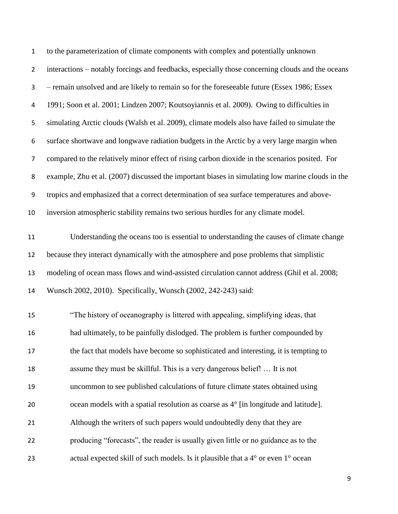| $\mathbf{1}$     | to the parameterization of climate components with complex and potentially unknown               |
|------------------|--------------------------------------------------------------------------------------------------|
| $\overline{2}$   | interactions - notably forcings and feedbacks, especially those concerning clouds and the oceans |
| $\mathbf{3}$     | - remain unsolved and are likely to remain so for the foreseeable future (Essex 1986; Essex      |
| 4                | 1991; Soon et al. 2001; Lindzen 2007; Koutsoyiannis et al. 2009). Owing to difficulties in       |
| 5                | simulating Arctic clouds (Walsh et al. 2009), climate models also have failed to simulate the    |
| 6                | surface shortwave and longwave radiation budgets in the Arctic by a very large margin when       |
| $\overline{7}$   | compared to the relatively minor effect of rising carbon dioxide in the scenarios posited. For   |
| 8                | example, Zhu et al. (2007) discussed the important biases in simulating low marine clouds in the |
| $\boldsymbol{9}$ | tropics and emphasized that a correct determination of sea surface temperatures and above-       |
| 10               | inversion atmospheric stability remains two serious hurdles for any climate model.               |
| 11               | Understanding the oceans too is essential to understanding the causes of climate change          |
| 12               | because they interact dynamically with the atmosphere and pose problems that simplistic          |
| 13               | modeling of ocean mass flows and wind-assisted circulation cannot address (Ghil et al. 2008;     |
| 14               | Wunsch 2002, 2010). Specifically, Wunsch (2002, 242-243) said:                                   |
| 15               | "The history of oceanography is littered with appealing, simplifying ideas, that                 |
| 16               | had ultimately, to be painfully dislodged. The problem is further compounded by                  |
| 17               | the fact that models have become so sophisticated and interesting, it is tempting to             |
| 18               | assume they must be skillful. This is a very dangerous belief!  It is not                        |
| 19               | uncommon to see published calculations of future climate states obtained using                   |
| 20               | ocean models with a spatial resolution as coarse as 4° [in longitude and latitude].              |
| 21               | Although the writers of such papers would undoubtedly deny that they are                         |
| 22               | producing "forecasts", the reader is usually given little or no guidance as to the               |
| 23               | actual expected skill of such models. Is it plausible that a 4° or even 1° ocean                 |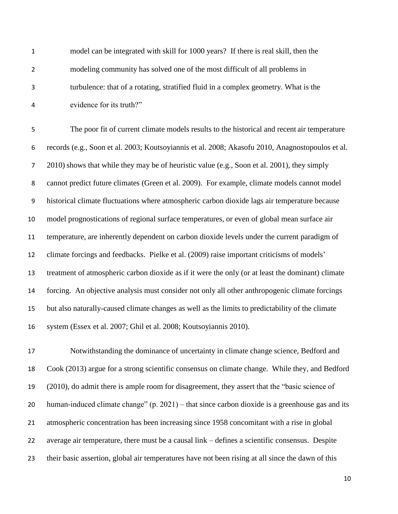model can be integrated with skill for 1000 years? If there is real skill, then the modeling community has solved one of the most difficult of all problems in turbulence: that of a rotating, stratified fluid in a complex geometry. What is the evidence for its truth?"

 The poor fit of current climate models results to the historical and recent air temperature records (e.g., Soon et al. 2003; Koutsoyiannis et al. 2008; Akasofu 2010, Anagnostopoulos et al. 2010) shows that while they may be of heuristic value (e.g., Soon et al. 2001), they simply cannot predict future climates (Green et al. 2009). For example, climate models cannot model historical climate fluctuations where atmospheric carbon dioxide lags air temperature because model prognostications of regional surface temperatures, or even of global mean surface air temperature, are inherently dependent on carbon dioxide levels under the current paradigm of climate forcings and feedbacks. Pielke et al. (2009) raise important criticisms of models' treatment of atmospheric carbon dioxide as if it were the only (or at least the dominant) climate forcing. An objective analysis must consider not only all other anthropogenic climate forcings but also naturally-caused climate changes as well as the limits to predictability of the climate system (Essex et al. 2007; Ghil et al. 2008; Koutsoyiannis 2010).

 Notwithstanding the dominance of uncertainty in climate change science, Bedford and Cook (2013) argue for a strong scientific consensus on climate change. While they, and Bedford (2010), do admit there is ample room for disagreement, they assert that the "basic science of human-induced climate change" (p. 2021) – that since carbon dioxide is a greenhouse gas and its atmospheric concentration has been increasing since 1958 concomitant with a rise in global average air temperature, there must be a causal link – defines a scientific consensus. Despite their basic assertion, global air temperatures have not been rising at all since the dawn of this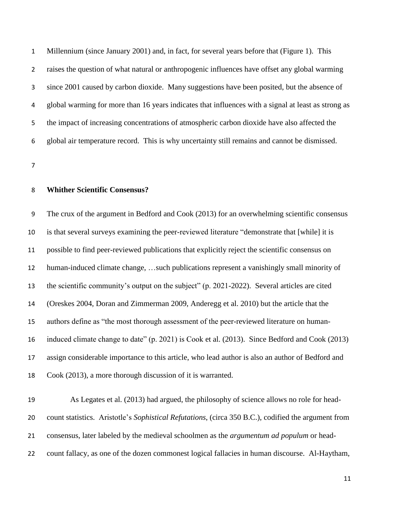Millennium (since January 2001) and, in fact, for several years before that (Figure 1). This raises the question of what natural or anthropogenic influences have offset any global warming since 2001 caused by carbon dioxide. Many suggestions have been posited, but the absence of global warming for more than 16 years indicates that influences with a signal at least as strong as the impact of increasing concentrations of atmospheric carbon dioxide have also affected the global air temperature record. This is why uncertainty still remains and cannot be dismissed.

# **Whither Scientific Consensus?**

 The crux of the argument in Bedford and Cook (2013) for an overwhelming scientific consensus is that several surveys examining the peer-reviewed literature "demonstrate that [while] it is possible to find peer-reviewed publications that explicitly reject the scientific consensus on human-induced climate change, …such publications represent a vanishingly small minority of the scientific community's output on the subject" (p. 2021-2022). Several articles are cited (Oreskes 2004, Doran and Zimmerman 2009, Anderegg et al. 2010) but the article that the authors define as "the most thorough assessment of the peer-reviewed literature on human- induced climate change to date" (p. 2021) is Cook et al. (2013). Since Bedford and Cook (2013) assign considerable importance to this article, who lead author is also an author of Bedford and Cook (2013), a more thorough discussion of it is warranted.

 As Legates et al. (2013) had argued, the philosophy of science allows no role for head- count statistics. Aristotle's *Sophistical Refutations*, (circa 350 B.C.), codified the argument from consensus, later labeled by the medieval schoolmen as the *argumentum ad populum* or head-count fallacy, as one of the dozen commonest logical fallacies in human discourse. Al-Haytham,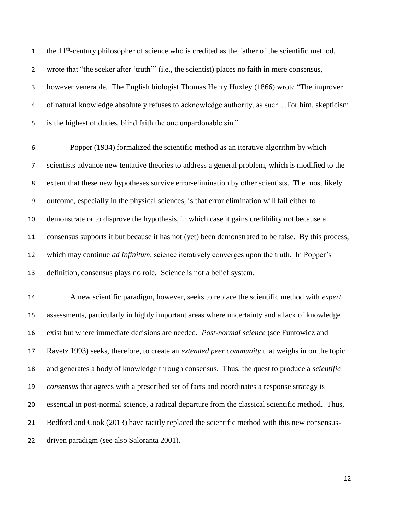the  $11<sup>th</sup>$ -century philosopher of science who is credited as the father of the scientific method, wrote that "the seeker after 'truth'" (i.e., the scientist) places no faith in mere consensus, however venerable. The English biologist Thomas Henry Huxley (1866) wrote "The improver of natural knowledge absolutely refuses to acknowledge authority, as such…For him, skepticism is the highest of duties, blind faith the one unpardonable sin."

 Popper (1934) formalized the scientific method as an iterative algorithm by which scientists advance new tentative theories to address a general problem, which is modified to the extent that these new hypotheses survive error-elimination by other scientists. The most likely outcome, especially in the physical sciences, is that error elimination will fail either to demonstrate or to disprove the hypothesis, in which case it gains credibility not because a consensus supports it but because it has not (yet) been demonstrated to be false. By this process, which may continue *ad infinitum*, science iteratively converges upon the truth. In Popper's definition, consensus plays no role. Science is not a belief system.

 A new scientific paradigm, however, seeks to replace the scientific method with *expert* assessments, particularly in highly important areas where uncertainty and a lack of knowledge exist but where immediate decisions are needed. *Post-normal science* (see Funtowicz and Ravetz 1993) seeks, therefore, to create an *extended peer community* that weighs in on the topic and generates a body of knowledge through consensus. Thus, the quest to produce a *scientific consensus* that agrees with a prescribed set of facts and coordinates a response strategy is essential in post-normal science, a radical departure from the classical scientific method. Thus, Bedford and Cook (2013) have tacitly replaced the scientific method with this new consensus-driven paradigm (see also Saloranta 2001).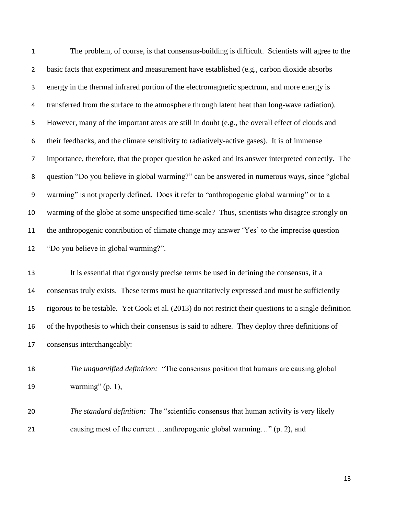The problem, of course, is that consensus-building is difficult. Scientists will agree to the 2 basic facts that experiment and measurement have established (e.g., carbon dioxide absorbs energy in the thermal infrared portion of the electromagnetic spectrum, and more energy is transferred from the surface to the atmosphere through latent heat than long-wave radiation). However, many of the important areas are still in doubt (e.g., the overall effect of clouds and their feedbacks, and the climate sensitivity to radiatively-active gases). It is of immense importance, therefore, that the proper question be asked and its answer interpreted correctly. The question "Do you believe in global warming?" can be answered in numerous ways, since "global warming" is not properly defined. Does it refer to "anthropogenic global warming" or to a warming of the globe at some unspecified time-scale? Thus, scientists who disagree strongly on the anthropogenic contribution of climate change may answer 'Yes' to the imprecise question "Do you believe in global warming?".

 It is essential that rigorously precise terms be used in defining the consensus, if a consensus truly exists. These terms must be quantitatively expressed and must be sufficiently rigorous to be testable. Yet Cook et al. (2013) do not restrict their questions to a single definition of the hypothesis to which their consensus is said to adhere. They deploy three definitions of consensus interchangeably:

 *The unquantified definition:* "The consensus position that humans are causing global warming" (p. 1),

 *The standard definition:* The "scientific consensus that human activity is very likely causing most of the current …anthropogenic global warming…" (p. 2), and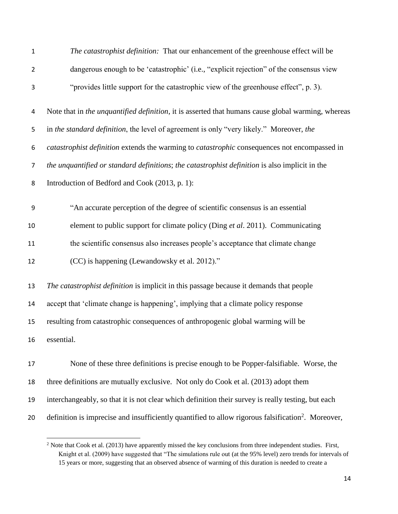| $\mathbf{1}$     | The catastrophist definition: That our enhancement of the greenhouse effect will be                            |
|------------------|----------------------------------------------------------------------------------------------------------------|
| $\overline{2}$   | dangerous enough to be 'catastrophic' (i.e., "explicit rejection" of the consensus view                        |
| 3                | "provides little support for the catastrophic view of the greenhouse effect", p. 3).                           |
| 4                | Note that in the unquantified definition, it is asserted that humans cause global warming, whereas             |
| 5                | in the standard definition, the level of agreement is only "very likely." Moreover, the                        |
| 6                | catastrophist definition extends the warming to catastrophic consequences not encompassed in                   |
| $\overline{7}$   | the unquantified or standard definitions; the catastrophist definition is also implicit in the                 |
| 8                | Introduction of Bedford and Cook (2013, p. 1):                                                                 |
| $\boldsymbol{9}$ | "An accurate perception of the degree of scientific consensus is an essential                                  |
| 10               | element to public support for climate policy (Ding et al. 2011). Communicating                                 |
| 11               | the scientific consensus also increases people's acceptance that climate change                                |
| 12               | (CC) is happening (Lewandowsky et al. 2012)."                                                                  |
| 13               | The catastrophist definition is implicit in this passage because it demands that people                        |
| 14               | accept that 'climate change is happening', implying that a climate policy response                             |
| 15               | resulting from catastrophic consequences of anthropogenic global warming will be                               |
| 16               | essential.                                                                                                     |
| 17               | None of these three definitions is precise enough to be Popper-falsifiable. Worse, the                         |
| 18               | three definitions are mutually exclusive. Not only do Cook et al. (2013) adopt them                            |
| 19               | interchangeably, so that it is not clear which definition their survey is really testing, but each             |
| 20               | definition is imprecise and insufficiently quantified to allow rigorous falsification <sup>2</sup> . Moreover, |

<sup>&</sup>lt;sup>2</sup> Note that Cook et al. (2013) have apparently missed the key conclusions from three independent studies. First, Knight et al. (2009) have suggested that "The simulations rule out (at the 95% level) zero trends for intervals of 15 years or more, suggesting that an observed absence of warming of this duration is needed to create a

 $\overline{\phantom{a}}$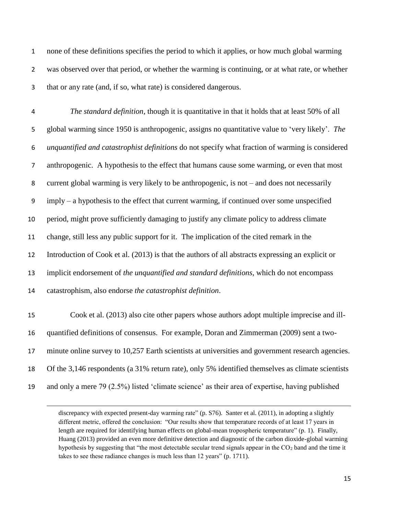none of these definitions specifies the period to which it applies, or how much global warming was observed over that period, or whether the warming is continuing, or at what rate, or whether that or any rate (and, if so, what rate) is considered dangerous.

 *The standard definition*, though it is quantitative in that it holds that at least 50% of all global warming since 1950 is anthropogenic, assigns no quantitative value to 'very likely'. *The unquantified and catastrophist definitions* do not specify what fraction of warming is considered anthropogenic. A hypothesis to the effect that humans cause some warming, or even that most current global warming is very likely to be anthropogenic, is not – and does not necessarily imply – a hypothesis to the effect that current warming, if continued over some unspecified period, might prove sufficiently damaging to justify any climate policy to address climate change, still less any public support for it. The implication of the cited remark in the Introduction of Cook et al. (2013) is that the authors of all abstracts expressing an explicit or implicit endorsement of *the unquantified and standard definitions,* which do not encompass catastrophism, also endorse *the catastrophist definition*. Cook et al. (2013) also cite other papers whose authors adopt multiple imprecise and ill- quantified definitions of consensus. For example, Doran and Zimmerman (2009) sent a two- minute online survey to 10,257 Earth scientists at universities and government research agencies. Of the 3,146 respondents (a 31% return rate), only 5% identified themselves as climate scientists and only a mere 79 (2.5%) listed 'climate science' as their area of expertise, having published

 $\overline{a}$ 

discrepancy with expected present-day warming rate" (p. S76). Santer et al. (2011), in adopting a slightly different metric, offered the conclusion: "Our results show that temperature records of at least 17 years in length are required for identifying human effects on global-mean tropospheric temperature" (p. 1). Finally, Huang (2013) provided an even more definitive detection and diagnostic of the carbon dioxide-global warming hypothesis by suggesting that "the most detectable secular trend signals appear in the  $CO<sub>2</sub>$  band and the time it takes to see these radiance changes is much less than 12 years" (p. 1711).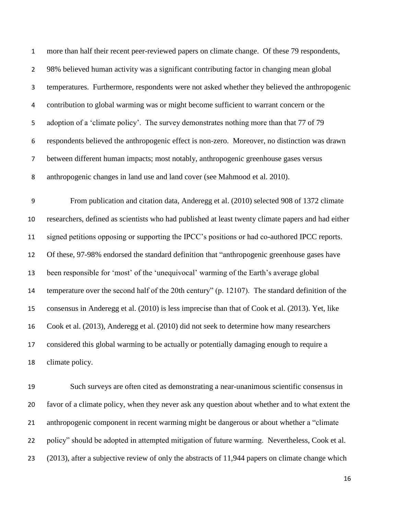| $\mathbf 1$      | more than half their recent peer-reviewed papers on climate change. Of these 79 respondents,       |
|------------------|----------------------------------------------------------------------------------------------------|
| $\overline{2}$   | 98% believed human activity was a significant contributing factor in changing mean global          |
| 3                | temperatures. Furthermore, respondents were not asked whether they believed the anthropogenic      |
| 4                | contribution to global warming was or might become sufficient to warrant concern or the            |
| 5                | adoption of a 'climate policy'. The survey demonstrates nothing more than that 77 of 79            |
| 6                | respondents believed the anthropogenic effect is non-zero. Moreover, no distinction was drawn      |
| $\overline{7}$   | between different human impacts; most notably, anthropogenic greenhouse gases versus               |
| 8                | anthropogenic changes in land use and land cover (see Mahmood et al. 2010).                        |
| $\boldsymbol{9}$ | From publication and citation data, Anderegg et al. (2010) selected 908 of 1372 climate            |
| 10               | researchers, defined as scientists who had published at least twenty climate papers and had either |
| 11               | signed petitions opposing or supporting the IPCC's positions or had co-authored IPCC reports.      |
| 12               | Of these, 97-98% endorsed the standard definition that "anthropogenic greenhouse gases have        |
| 13               | been responsible for 'most' of the 'unequivocal' warming of the Earth's average global             |
| 14               | temperature over the second half of the 20th century" (p. 12107). The standard definition of the   |
| 15               | consensus in Anderegg et al. (2010) is less imprecise than that of Cook et al. (2013). Yet, like   |
| 16               | Cook et al. (2013), Anderegg et al. (2010) did not seek to determine how many researchers          |
| 17               | considered this global warming to be actually or potentially damaging enough to require a          |
| 18               | climate policy.                                                                                    |
| 10               | Such guaraise ano often aitad as demonstrating a near unanimeus seigntific consensus in            |

 Such surveys are often cited as demonstrating a near-unanimous scientific consensus in favor of a climate policy, when they never ask any question about whether and to what extent the anthropogenic component in recent warming might be dangerous or about whether a "climate policy" should be adopted in attempted mitigation of future warming. Nevertheless, Cook et al. (2013), after a subjective review of only the abstracts of 11,944 papers on climate change which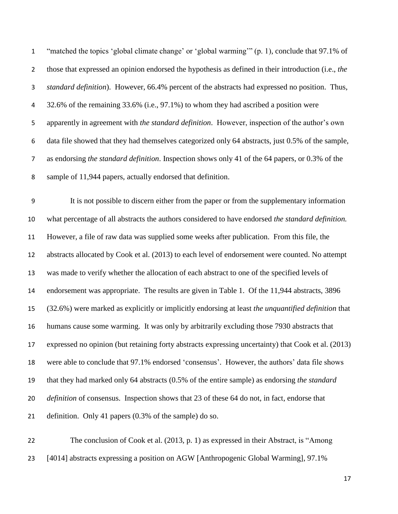"matched the topics 'global climate change' or 'global warming'" (p. 1), conclude that 97.1% of those that expressed an opinion endorsed the hypothesis as defined in their introduction (i.e., *the standard definition*). However, 66.4% percent of the abstracts had expressed no position. Thus, 32.6% of the remaining 33.6% (i.e., 97.1%) to whom they had ascribed a position were apparently in agreement with *the standard definition*. However, inspection of the author's own data file showed that they had themselves categorized only 64 abstracts, just 0.5% of the sample, as endorsing *the standard definition*. Inspection shows only 41 of the 64 papers, or 0.3% of the sample of 11,944 papers, actually endorsed that definition.

 It is not possible to discern either from the paper or from the supplementary information what percentage of all abstracts the authors considered to have endorsed *the standard definition.*  However, a file of raw data was supplied some weeks after publication. From this file, the abstracts allocated by Cook et al. (2013) to each level of endorsement were counted. No attempt was made to verify whether the allocation of each abstract to one of the specified levels of endorsement was appropriate. The results are given in Table 1. Of the 11,944 abstracts, 3896 (32.6%) were marked as explicitly or implicitly endorsing at least *the unquantified definition* that humans cause some warming. It was only by arbitrarily excluding those 7930 abstracts that expressed no opinion (but retaining forty abstracts expressing uncertainty) that Cook et al. (2013) were able to conclude that 97.1% endorsed 'consensus'. However, the authors' data file shows that they had marked only 64 abstracts (0.5% of the entire sample) as endorsing *the standard definition* of consensus. Inspection shows that 23 of these 64 do not, in fact, endorse that definition. Only 41 papers (0.3% of the sample) do so.

 The conclusion of Cook et al. (2013, p. 1) as expressed in their Abstract, is "Among [4014] abstracts expressing a position on AGW [Anthropogenic Global Warming], 97.1%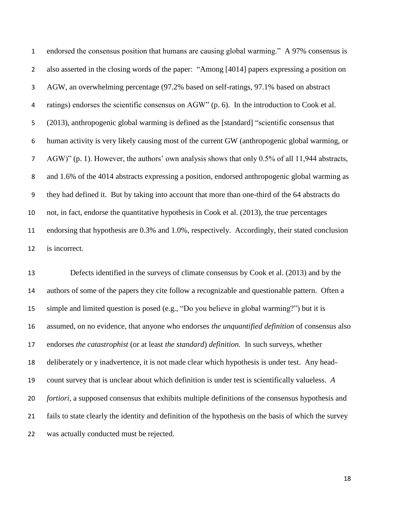endorsed the consensus position that humans are causing global warming." A 97% consensus is also asserted in the closing words of the paper: "Among [4014] papers expressing a position on AGW, an overwhelming percentage (97.2% based on self-ratings, 97.1% based on abstract ratings) endorses the scientific consensus on AGW" (p. 6). In the introduction to Cook et al. (2013), anthropogenic global warming is defined as the [standard] "scientific consensus that human activity is very likely causing most of the current GW (anthropogenic global warming, or AGW)" (p. 1). However, the authors' own analysis shows that only 0.5% of all 11,944 abstracts, and 1.6% of the 4014 abstracts expressing a position, endorsed anthropogenic global warming as they had defined it. But by taking into account that more than one-third of the 64 abstracts do not, in fact, endorse the quantitative hypothesis in Cook et al. (2013), the true percentages endorsing that hypothesis are 0.3% and 1.0%, respectively. Accordingly, their stated conclusion is incorrect.

 Defects identified in the surveys of climate consensus by Cook et al. (2013) and by the authors of some of the papers they cite follow a recognizable and questionable pattern. Often a simple and limited question is posed (e.g., "Do you believe in global warming?") but it is assumed, on no evidence, that anyone who endorses *the unquantified definition* of consensus also endorses *the catastrophist* (or at least *the standard*) *definition.* In such surveys, whether deliberately or y inadvertence, it is not made clear which hypothesis is under test. Any head- count survey that is unclear about which definition is under test is scientifically valueless. *A fortiori,* a supposed consensus that exhibits multiple definitions of the consensus hypothesis and fails to state clearly the identity and definition of the hypothesis on the basis of which the survey was actually conducted must be rejected.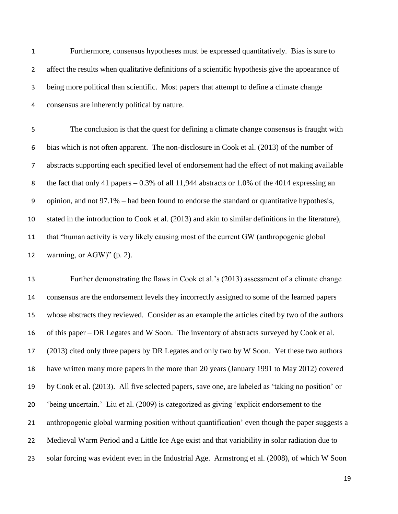Furthermore, consensus hypotheses must be expressed quantitatively. Bias is sure to 2 affect the results when qualitative definitions of a scientific hypothesis give the appearance of being more political than scientific. Most papers that attempt to define a climate change consensus are inherently political by nature.

 The conclusion is that the quest for defining a climate change consensus is fraught with bias which is not often apparent. The non-disclosure in Cook et al. (2013) of the number of abstracts supporting each specified level of endorsement had the effect of not making available the fact that only 41 papers – 0.3% of all 11,944 abstracts or 1.0% of the 4014 expressing an opinion, and not 97.1% – had been found to endorse the standard or quantitative hypothesis, stated in the introduction to Cook et al. (2013) and akin to similar definitions in the literature), that "human activity is very likely causing most of the current GW (anthropogenic global warming, or AGW)" (p. 2).

 Further demonstrating the flaws in Cook et al.'s (2013) assessment of a climate change consensus are the endorsement levels they incorrectly assigned to some of the learned papers whose abstracts they reviewed. Consider as an example the articles cited by two of the authors of this paper – DR Legates and W Soon. The inventory of abstracts surveyed by Cook et al. (2013) cited only three papers by DR Legates and only two by W Soon. Yet these two authors have written many more papers in the more than 20 years (January 1991 to May 2012) covered by Cook et al. (2013). All five selected papers, save one, are labeled as 'taking no position' or 'being uncertain.' Liu et al. (2009) is categorized as giving 'explicit endorsement to the anthropogenic global warming position without quantification' even though the paper suggests a Medieval Warm Period and a Little Ice Age exist and that variability in solar radiation due to solar forcing was evident even in the Industrial Age. Armstrong et al. (2008), of which W Soon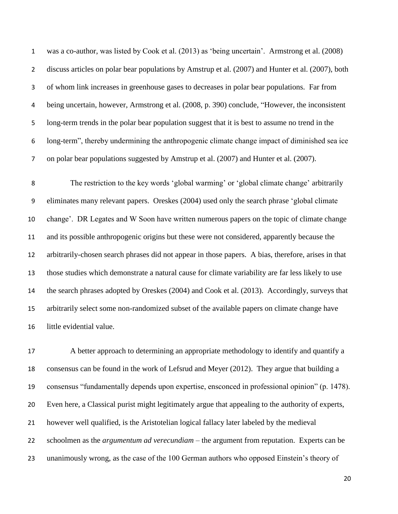was a co-author, was listed by Cook et al. (2013) as 'being uncertain'. Armstrong et al. (2008) discuss articles on polar bear populations by Amstrup et al. (2007) and Hunter et al. (2007), both of whom link increases in greenhouse gases to decreases in polar bear populations. Far from being uncertain, however, Armstrong et al. (2008, p. 390) conclude, "However, the inconsistent long-term trends in the polar bear population suggest that it is best to assume no trend in the long-term", thereby undermining the anthropogenic climate change impact of diminished sea ice on polar bear populations suggested by Amstrup et al. (2007) and Hunter et al. (2007).

 The restriction to the key words 'global warming' or 'global climate change' arbitrarily eliminates many relevant papers. Oreskes (2004) used only the search phrase 'global climate change'. DR Legates and W Soon have written numerous papers on the topic of climate change and its possible anthropogenic origins but these were not considered, apparently because the arbitrarily-chosen search phrases did not appear in those papers. A bias, therefore, arises in that those studies which demonstrate a natural cause for climate variability are far less likely to use the search phrases adopted by Oreskes (2004) and Cook et al. (2013). Accordingly, surveys that arbitrarily select some non-randomized subset of the available papers on climate change have little evidential value.

 A better approach to determining an appropriate methodology to identify and quantify a consensus can be found in the work of Lefsrud and Meyer (2012). They argue that building a consensus "fundamentally depends upon expertise, ensconced in professional opinion" (p. 1478). Even here, a Classical purist might legitimately argue that appealing to the authority of experts, however well qualified, is the Aristotelian logical fallacy later labeled by the medieval schoolmen as the *argumentum ad verecundiam* – the argument from reputation. Experts can be unanimously wrong, as the case of the 100 German authors who opposed Einstein's theory of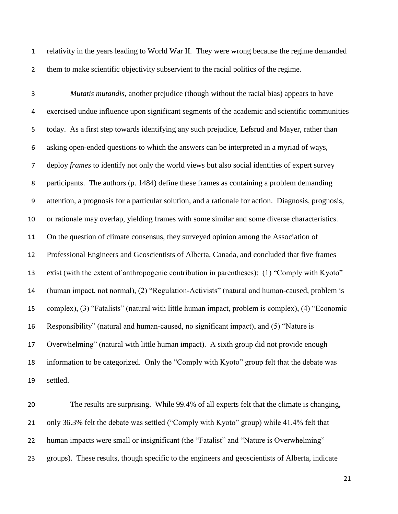relativity in the years leading to World War II. They were wrong because the regime demanded them to make scientific objectivity subservient to the racial politics of the regime.

 *Mutatis mutandis,* another prejudice (though without the racial bias) appears to have exercised undue influence upon significant segments of the academic and scientific communities today. As a first step towards identifying any such prejudice, Lefsrud and Mayer, rather than asking open-ended questions to which the answers can be interpreted in a myriad of ways, deploy *frames* to identify not only the world views but also social identities of expert survey participants. The authors (p. 1484) define these frames as containing a problem demanding attention, a prognosis for a particular solution, and a rationale for action. Diagnosis, prognosis, or rationale may overlap, yielding frames with some similar and some diverse characteristics. On the question of climate consensus, they surveyed opinion among the Association of Professional Engineers and Geoscientists of Alberta, Canada, and concluded that five frames exist (with the extent of anthropogenic contribution in parentheses): (1) "Comply with Kyoto" (human impact, not normal), (2) "Regulation-Activists" (natural and human-caused, problem is complex), (3) "Fatalists" (natural with little human impact, problem is complex), (4) "Economic Responsibility" (natural and human-caused, no significant impact), and (5) "Nature is Overwhelming" (natural with little human impact). A sixth group did not provide enough information to be categorized. Only the "Comply with Kyoto" group felt that the debate was settled.

 The results are surprising. While 99.4% of all experts felt that the climate is changing, only 36.3% felt the debate was settled ("Comply with Kyoto" group) while 41.4% felt that 22 human impacts were small or insignificant (the "Fatalist" and "Nature is Overwhelming" groups). These results, though specific to the engineers and geoscientists of Alberta, indicate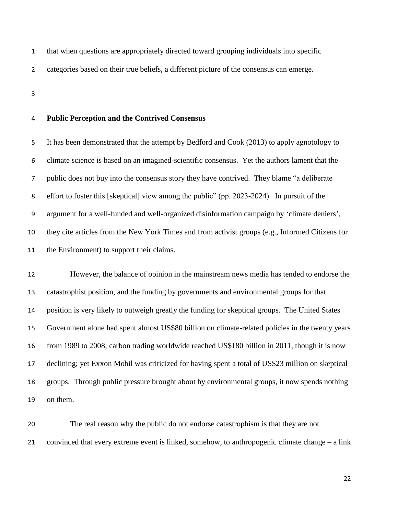that when questions are appropriately directed toward grouping individuals into specific

categories based on their true beliefs, a different picture of the consensus can emerge.

# **Public Perception and the Contrived Consensus**

 It has been demonstrated that the attempt by Bedford and Cook (2013) to apply agnotology to climate science is based on an imagined-scientific consensus. Yet the authors lament that the public does not buy into the consensus story they have contrived. They blame "a deliberate effort to foster this [skeptical] view among the public" (pp. 2023-2024). In pursuit of the argument for a well-funded and well-organized disinformation campaign by 'climate deniers', they cite articles from the New York Times and from activist groups (e.g., Informed Citizens for the Environment) to support their claims.

 However, the balance of opinion in the mainstream news media has tended to endorse the catastrophist position, and the funding by governments and environmental groups for that position is very likely to outweigh greatly the funding for skeptical groups. The United States Government alone had spent almost US\$80 billion on climate-related policies in the twenty years from 1989 to 2008; carbon trading worldwide reached US\$180 billion in 2011, though it is now declining; yet Exxon Mobil was criticized for having spent a total of US\$23 million on skeptical groups. Through public pressure brought about by environmental groups, it now spends nothing on them.

 The real reason why the public do not endorse catastrophism is that they are not convinced that every extreme event is linked, somehow, to anthropogenic climate change – a link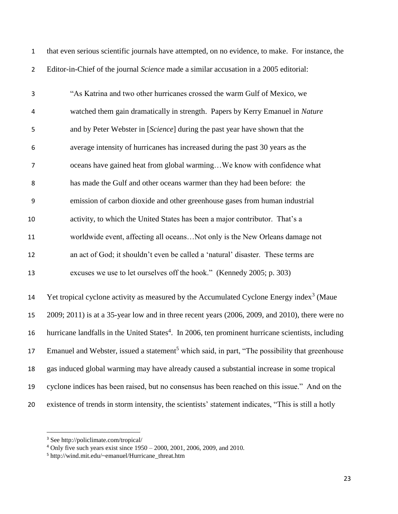| that even serious scientific journals have attempted, on no evidence, to make. For instance, the |  |
|--------------------------------------------------------------------------------------------------|--|
| Editor-in-Chief of the journal <i>Science</i> made a similar accusation in a 2005 editorial:     |  |

| 3  | "As Katrina and two other hurricanes crossed the warm Gulf of Mexico, we         |
|----|----------------------------------------------------------------------------------|
| 4  | watched them gain dramatically in strength. Papers by Kerry Emanuel in Nature    |
| 5  | and by Peter Webster in [Science] during the past year have shown that the       |
| 6  | average intensity of hurricanes has increased during the past 30 years as the    |
| 7  | oceans have gained heat from global warmingWe know with confidence what          |
| 8  | has made the Gulf and other oceans warmer than they had been before: the         |
| 9  | emission of carbon dioxide and other greenhouse gases from human industrial      |
| 10 | activity, to which the United States has been a major contributor. That's a      |
| 11 | worldwide event, affecting all oceansNot only is the New Orleans damage not      |
| 12 | an act of God; it shouldn't even be called a 'natural' disaster. These terms are |
| 13 | excuses we use to let ourselves off the hook." (Kennedy 2005; p. 303)            |
|    |                                                                                  |

14 Yet tropical cyclone activity as measured by the Accumulated Cyclone Energy index<sup>3</sup> (Maue 2009; 2011) is at a 35-year low and in three recent years (2006, 2009, and 2010), there were no 16 hurricane landfalls in the United States<sup>4</sup>. In 2006, ten prominent hurricane scientists, including 17 Emanuel and Webster, issued a statement<sup>5</sup> which said, in part, "The possibility that greenhouse gas induced global warming may have already caused a substantial increase in some tropical cyclone indices has been raised, but no consensus has been reached on this issue." And on the existence of trends in storm intensity, the scientists' statement indicates, "This is still a hotly

l

See http://policlimate.com/tropical/

Only five such years exist since 1950 – 2000, 2001, 2006, 2009, and 2010.

http://wind.mit.edu/~emanuel/Hurricane\_threat.htm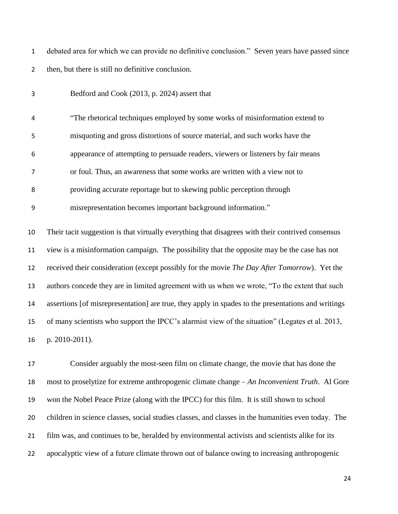debated area for which we can provide no definitive conclusion." Seven years have passed since then, but there is still no definitive conclusion.

| 3              | Bedford and Cook (2013, p. 2024) assert that                                                       |
|----------------|----------------------------------------------------------------------------------------------------|
| 4              | "The rhetorical techniques employed by some works of misinformation extend to                      |
| 5              | misquoting and gross distortions of source material, and such works have the                       |
| 6              | appearance of attempting to persuade readers, viewers or listeners by fair means                   |
| $\overline{7}$ | or foul. Thus, an awareness that some works are written with a view not to                         |
| 8              | providing accurate reportage but to skewing public perception through                              |
| 9              | misrepresentation becomes important background information."                                       |
| $10\,$         | Their tacit suggestion is that virtually everything that disagrees with their contrived consensus  |
| 11             | view is a misinformation campaign. The possibility that the opposite may be the case has not       |
| 12             | received their consideration (except possibly for the movie The Day After Tomorrow). Yet the       |
| 13             | authors concede they are in limited agreement with us when we wrote, "To the extent that such      |
| 14             | assertions [of misrepresentation] are true, they apply in spades to the presentations and writings |
| 15             | of many scientists who support the IPCC's alarmist view of the situation" (Legates et al. 2013,    |
| 16             | p. 2010-2011).                                                                                     |
| 17             | Consider arguably the most-seen film on climate change, the movie that has done the                |
| 18             | most to proselytize for extreme anthropogenic climate change – An Inconvenient Truth. Al Gore      |

won the Nobel Peace Prize (along with the IPCC) for this film. It is still shown to school

children in science classes, social studies classes, and classes in the humanities even today. The

film was, and continues to be, heralded by environmental activists and scientists alike for its

apocalyptic view of a future climate thrown out of balance owing to increasing anthropogenic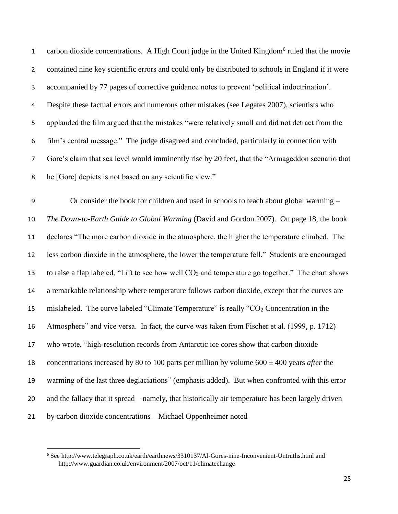1 carbon dioxide concentrations. A High Court judge in the United Kingdom<sup>6</sup> ruled that the movie contained nine key scientific errors and could only be distributed to schools in England if it were accompanied by 77 pages of corrective guidance notes to prevent 'political indoctrination'. Despite these factual errors and numerous other mistakes (see Legates 2007), scientists who applauded the film argued that the mistakes "were relatively small and did not detract from the film's central message." The judge disagreed and concluded, particularly in connection with Gore's claim that sea level would imminently rise by 20 feet, that the "Armageddon scenario that he [Gore] depicts is not based on any scientific view."

 Or consider the book for children and used in schools to teach about global warming – *The Down-to-Earth Guide to Global Warming* (David and Gordon 2007). On page 18, the book declares "The more carbon dioxide in the atmosphere, the higher the temperature climbed. The less carbon dioxide in the atmosphere, the lower the temperature fell." Students are encouraged 13 to raise a flap labeled, "Lift to see how well  $CO<sub>2</sub>$  and temperature go together." The chart shows a remarkable relationship where temperature follows carbon dioxide, except that the curves are 15 mislabeled. The curve labeled "Climate Temperature" is really " $CO<sub>2</sub>$  Concentration in the Atmosphere" and vice versa. In fact, the curve was taken from Fischer et al. (1999, p. 1712) who wrote, "high-resolution records from Antarctic ice cores show that carbon dioxide 18 concentrations increased by 80 to 100 parts per million by volume  $600 \pm 400$  years *after* the warming of the last three deglaciations" (emphasis added). But when confronted with this error and the fallacy that it spread – namely, that historically air temperature has been largely driven by carbon dioxide concentrations – Michael Oppenheimer noted

l

 See http://www.telegraph.co.uk/earth/earthnews/3310137/Al-Gores-nine-Inconvenient-Untruths.html and http://www.guardian.co.uk/environment/2007/oct/11/climatechange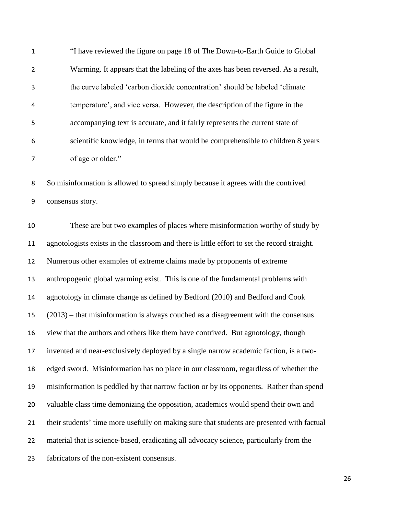| 1              | "I have reviewed the figure on page 18 of The Down-to-Earth Guide to Global       |
|----------------|-----------------------------------------------------------------------------------|
| $\overline{2}$ | Warming. It appears that the labeling of the axes has been reversed. As a result, |
| 3              | the curve labeled 'carbon dioxide concentration' should be labeled 'climate       |
| 4              | temperature', and vice versa. However, the description of the figure in the       |
| 5              | accompanying text is accurate, and it fairly represents the current state of      |
| 6              | scientific knowledge, in terms that would be comprehensible to children 8 years   |
| 7              | of age or older."                                                                 |

 So misinformation is allowed to spread simply because it agrees with the contrived consensus story.

 These are but two examples of places where misinformation worthy of study by agnotologists exists in the classroom and there is little effort to set the record straight. Numerous other examples of extreme claims made by proponents of extreme anthropogenic global warming exist. This is one of the fundamental problems with agnotology in climate change as defined by Bedford (2010) and Bedford and Cook (2013) – that misinformation is always couched as a disagreement with the consensus view that the authors and others like them have contrived. But agnotology, though invented and near-exclusively deployed by a single narrow academic faction, is a two- edged sword. Misinformation has no place in our classroom, regardless of whether the misinformation is peddled by that narrow faction or by its opponents. Rather than spend valuable class time demonizing the opposition, academics would spend their own and their students' time more usefully on making sure that students are presented with factual material that is science-based, eradicating all advocacy science, particularly from the fabricators of the non-existent consensus.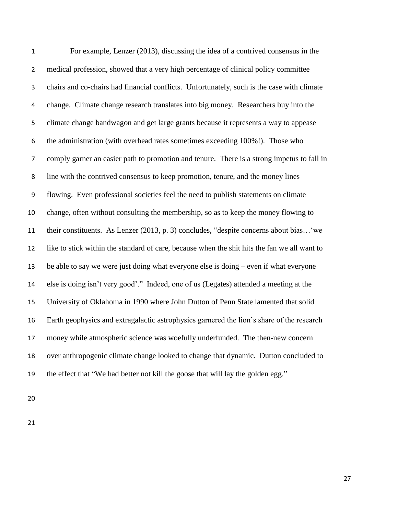| $\mathbf 1$    | For example, Lenzer (2013), discussing the idea of a contrived consensus in the              |
|----------------|----------------------------------------------------------------------------------------------|
| $\overline{2}$ | medical profession, showed that a very high percentage of clinical policy committee          |
| 3              | chairs and co-chairs had financial conflicts. Unfortunately, such is the case with climate   |
| 4              | change. Climate change research translates into big money. Researchers buy into the          |
| 5              | climate change bandwagon and get large grants because it represents a way to appease         |
| 6              | the administration (with overhead rates sometimes exceeding 100%!). Those who                |
| $\overline{7}$ | comply garner an easier path to promotion and tenure. There is a strong impetus to fall in   |
| 8              | line with the contrived consensus to keep promotion, tenure, and the money lines             |
| 9              | flowing. Even professional societies feel the need to publish statements on climate          |
| 10             | change, often without consulting the membership, so as to keep the money flowing to          |
| 11             | their constituents. As Lenzer (2013, p. 3) concludes, "despite concerns about bias 'we       |
| 12             | like to stick within the standard of care, because when the shit hits the fan we all want to |
| 13             | be able to say we were just doing what everyone else is doing – even if what everyone        |
| 14             | else is doing isn't very good'." Indeed, one of us (Legates) attended a meeting at the       |
| 15             | University of Oklahoma in 1990 where John Dutton of Penn State lamented that solid           |
| 16             | Earth geophysics and extragalactic astrophysics garnered the lion's share of the research    |
| 17             | money while atmospheric science was woefully underfunded. The then-new concern               |
| 18             | over anthropogenic climate change looked to change that dynamic. Dutton concluded to         |
| 19             | the effect that "We had better not kill the goose that will lay the golden egg."             |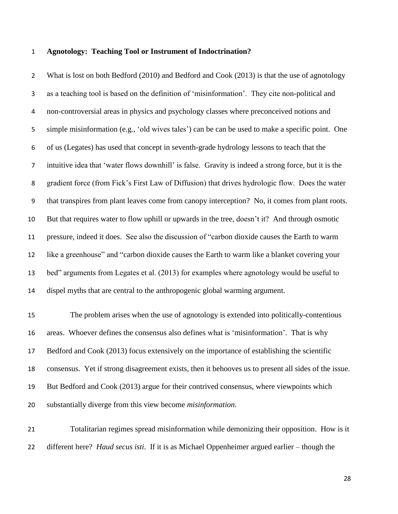#### **Agnotology: Teaching Tool or Instrument of Indoctrination?**

2 What is lost on both Bedford (2010) and Bedford and Cook (2013) is that the use of agnotology as a teaching tool is based on the definition of 'misinformation'. They cite non-political and non-controversial areas in physics and psychology classes where preconceived notions and simple misinformation (e.g., 'old wives tales') can be can be used to make a specific point. One of us (Legates) has used that concept in seventh-grade hydrology lessons to teach that the intuitive idea that 'water flows downhill' is false. Gravity is indeed a strong force, but it is the gradient force (from Fick's First Law of Diffusion) that drives hydrologic flow. Does the water that transpires from plant leaves come from canopy interception? No, it comes from plant roots. But that requires water to flow uphill or upwards in the tree, doesn't it? And through osmotic pressure, indeed it does. See also the discussion of "carbon dioxide causes the Earth to warm like a greenhouse" and "carbon dioxide causes the Earth to warm like a blanket covering your bed" arguments from Legates et al. (2013) for examples where agnotology would be useful to dispel myths that are central to the anthropogenic global warming argument.

 The problem arises when the use of agnotology is extended into politically-contentious areas. Whoever defines the consensus also defines what is 'misinformation'. That is why Bedford and Cook (2013) focus extensively on the importance of establishing the scientific consensus. Yet if strong disagreement exists, then it behooves us to present all sides of the issue. But Bedford and Cook (2013) argue for their contrived consensus, where viewpoints which substantially diverge from this view become *misinformation*.

 Totalitarian regimes spread misinformation while demonizing their opposition. How is it different here? *Haud secus isti*.If it is as Michael Oppenheimer argued earlier – though the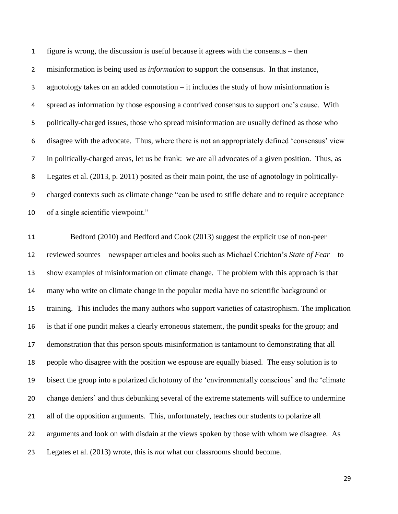figure is wrong, the discussion is useful because it agrees with the consensus – then misinformation is being used as *information* to support the consensus. In that instance, agnotology takes on an added connotation – it includes the study of how misinformation is spread as information by those espousing a contrived consensus to support one's cause. With politically-charged issues, those who spread misinformation are usually defined as those who disagree with the advocate. Thus, where there is not an appropriately defined 'consensus' view in politically-charged areas, let us be frank: we are all advocates of a given position. Thus, as Legates et al. (2013, p. 2011) posited as their main point, the use of agnotology in politically- charged contexts such as climate change "can be used to stifle debate and to require acceptance of a single scientific viewpoint."

 Bedford (2010) and Bedford and Cook (2013) suggest the explicit use of non-peer reviewed sources – newspaper articles and books such as Michael Crichton's *State of Fear* – to show examples of misinformation on climate change. The problem with this approach is that many who write on climate change in the popular media have no scientific background or training. This includes the many authors who support varieties of catastrophism. The implication is that if one pundit makes a clearly erroneous statement, the pundit speaks for the group; and demonstration that this person spouts misinformation is tantamount to demonstrating that all people who disagree with the position we espouse are equally biased. The easy solution is to bisect the group into a polarized dichotomy of the 'environmentally conscious' and the 'climate change deniers' and thus debunking several of the extreme statements will suffice to undermine 21 all of the opposition arguments. This, unfortunately, teaches our students to polarize all arguments and look on with disdain at the views spoken by those with whom we disagree. As Legates et al. (2013) wrote, this is *not* what our classrooms should become.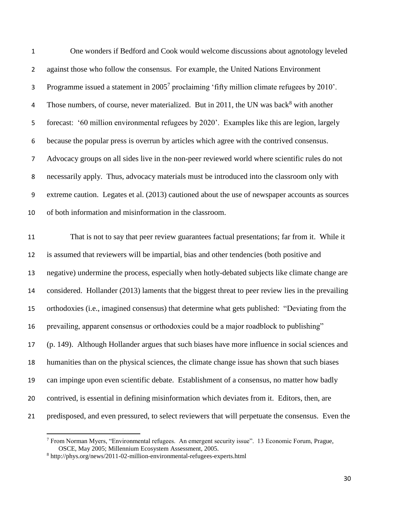| $\mathbf 1$      | One wonders if Bedford and Cook would welcome discussions about agnotology leveled                      |
|------------------|---------------------------------------------------------------------------------------------------------|
| $\overline{2}$   | against those who follow the consensus. For example, the United Nations Environment                     |
| 3                | Programme issued a statement in 2005 <sup>7</sup> proclaiming 'fifty million climate refugees by 2010'. |
| 4                | Those numbers, of course, never materialized. But in 2011, the UN was back <sup>8</sup> with another    |
| 5                | forecast: '60 million environmental refugees by 2020'. Examples like this are legion, largely           |
| 6                | because the popular press is overrun by articles which agree with the contrived consensus.              |
| $\overline{7}$   | Advocacy groups on all sides live in the non-peer reviewed world where scientific rules do not          |
| 8                | necessarily apply. Thus, advocacy materials must be introduced into the classroom only with             |
| $\boldsymbol{9}$ | extreme caution. Legates et al. (2013) cautioned about the use of newspaper accounts as sources         |
| 10               | of both information and misinformation in the classroom.                                                |
| 11               | That is not to say that peer review guarantees factual presentations; far from it. While it             |
| 12               | is assumed that reviewers will be impartial, bias and other tendencies (both positive and               |
| 13               | negative) undermine the process, especially when hotly-debated subjects like climate change are         |
| 14               | considered. Hollander (2013) laments that the biggest threat to peer review lies in the prevailing      |
| 15               | orthodoxies (i.e., imagined consensus) that determine what gets published: "Deviating from the          |
| 16               | prevailing, apparent consensus or orthodoxies could be a major roadblock to publishing"                 |
| 17               | (p. 149). Although Hollander argues that such biases have more influence in social sciences and         |
| 18               | humanities than on the physical sciences, the climate change issue has shown that such biases           |
| 19               | can impinge upon even scientific debate. Establishment of a consensus, no matter how badly              |
| 20               | contrived, is essential in defining misinformation which deviates from it. Editors, then, are           |
| 21               | predisposed, and even pressured, to select reviewers that will perpetuate the consensus. Even the       |

<sup>&</sup>lt;sup>7</sup> From Norman Myers, "Environmental refugees. An emergent security issue". 13 Economic Forum, Prague, OSCE, May 2005; Millennium Ecosystem Assessment, 2005.

 $\overline{a}$ 

http://phys.org/news/2011-02-million-environmental-refugees-experts.html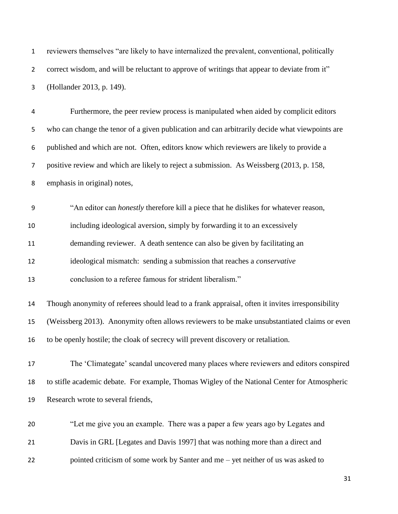| $\mathbf{1}$     | reviewers themselves "are likely to have internalized the prevalent, conventional, politically   |  |  |  |
|------------------|--------------------------------------------------------------------------------------------------|--|--|--|
| $\overline{2}$   | correct wisdom, and will be reluctant to approve of writings that appear to deviate from it"     |  |  |  |
| 3                | (Hollander 2013, p. 149).                                                                        |  |  |  |
| 4                | Furthermore, the peer review process is manipulated when aided by complicit editors              |  |  |  |
| 5                | who can change the tenor of a given publication and can arbitrarily decide what viewpoints are   |  |  |  |
| 6                | published and which are not. Often, editors know which reviewers are likely to provide a         |  |  |  |
| $\overline{7}$   | positive review and which are likely to reject a submission. As Weissberg (2013, p. 158,         |  |  |  |
| 8                | emphasis in original) notes,                                                                     |  |  |  |
| $\boldsymbol{9}$ | "An editor can <i>honestly</i> therefore kill a piece that he dislikes for whatever reason,      |  |  |  |
| 10               | including ideological aversion, simply by forwarding it to an excessively                        |  |  |  |
| 11               | demanding reviewer. A death sentence can also be given by facilitating an                        |  |  |  |
| 12               | ideological mismatch: sending a submission that reaches a <i>conservative</i>                    |  |  |  |
| 13               | conclusion to a referee famous for strident liberalism."                                         |  |  |  |
| 14               | Though anonymity of referees should lead to a frank appraisal, often it invites irresponsibility |  |  |  |
| 15               | (Weissberg 2013). Anonymity often allows reviewers to be make unsubstantiated claims or even     |  |  |  |
| 16               | to be openly hostile; the cloak of secrecy will prevent discovery or retaliation.                |  |  |  |
| 17               | The 'Climategate' scandal uncovered many places where reviewers and editors conspired            |  |  |  |
| 18               | to stifle academic debate. For example, Thomas Wigley of the National Center for Atmospheric     |  |  |  |
| 19               | Research wrote to several friends,                                                               |  |  |  |
| 20               | "Let me give you an example. There was a paper a few years ago by Legates and                    |  |  |  |
| 21               | Davis in GRL [Legates and Davis 1997] that was nothing more than a direct and                    |  |  |  |
| 22               | pointed criticism of some work by Santer and me - yet neither of us was asked to                 |  |  |  |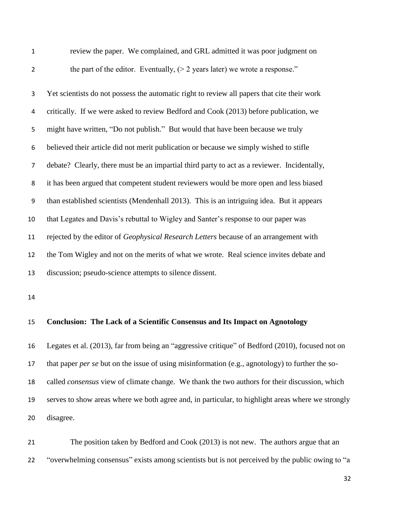review the paper. We complained, and GRL admitted it was poor judgment on 2 the part of the editor. Eventually,  $(> 2 \text{ years later})$  we wrote a response."

 Yet scientists do not possess the automatic right to review all papers that cite their work critically. If we were asked to review Bedford and Cook (2013) before publication, we might have written, "Do not publish." But would that have been because we truly believed their article did not merit publication or because we simply wished to stifle debate? Clearly, there must be an impartial third party to act as a reviewer. Incidentally, it has been argued that competent student reviewers would be more open and less biased than established scientists (Mendenhall 2013). This is an intriguing idea. But it appears that Legates and Davis's rebuttal to Wigley and Santer's response to our paper was rejected by the editor of *Geophysical Research Letters* because of an arrangement with the Tom Wigley and not on the merits of what we wrote. Real science invites debate and discussion; pseudo-science attempts to silence dissent.

#### **Conclusion: The Lack of a Scientific Consensus and Its Impact on Agnotology**

 Legates et al. (2013), far from being an "aggressive critique" of Bedford (2010), focused not on that paper *per se* but on the issue of using misinformation (e.g., agnotology) to further the so- called *consensus* view of climate change. We thank the two authors for their discussion, which serves to show areas where we both agree and, in particular, to highlight areas where we strongly disagree.

 The position taken by Bedford and Cook (2013) is not new. The authors argue that an "overwhelming consensus" exists among scientists but is not perceived by the public owing to "a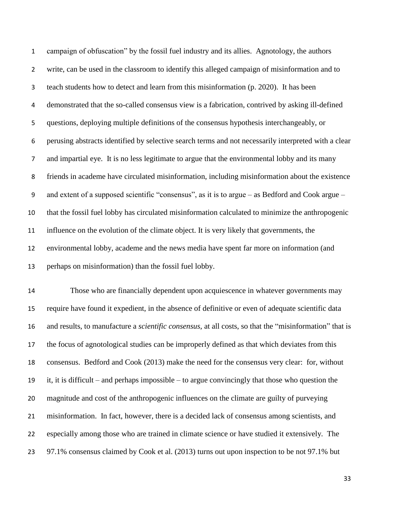campaign of obfuscation" by the fossil fuel industry and its allies. Agnotology, the authors write, can be used in the classroom to identify this alleged campaign of misinformation and to teach students how to detect and learn from this misinformation (p. 2020). It has been demonstrated that the so-called consensus view is a fabrication, contrived by asking ill-defined questions, deploying multiple definitions of the consensus hypothesis interchangeably, or perusing abstracts identified by selective search terms and not necessarily interpreted with a clear and impartial eye. It is no less legitimate to argue that the environmental lobby and its many friends in academe have circulated misinformation, including misinformation about the existence and extent of a supposed scientific "consensus", as it is to argue – as Bedford and Cook argue – that the fossil fuel lobby has circulated misinformation calculated to minimize the anthropogenic influence on the evolution of the climate object. It is very likely that governments, the environmental lobby, academe and the news media have spent far more on information (and perhaps on misinformation) than the fossil fuel lobby.

 Those who are financially dependent upon acquiescence in whatever governments may require have found it expedient, in the absence of definitive or even of adequate scientific data and results, to manufacture a *scientific consensus*, at all costs, so that the "misinformation" that is the focus of agnotological studies can be improperly defined as that which deviates from this consensus. Bedford and Cook (2013) make the need for the consensus very clear: for, without it, it is difficult – and perhaps impossible – to argue convincingly that those who question the magnitude and cost of the anthropogenic influences on the climate are guilty of purveying misinformation. In fact, however, there is a decided lack of consensus among scientists, and especially among those who are trained in climate science or have studied it extensively. The 97.1% consensus claimed by Cook et al. (2013) turns out upon inspection to be not 97.1% but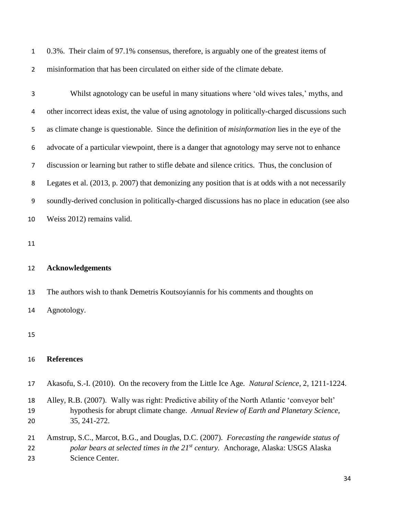0.3%. Their claim of 97.1% consensus, therefore, is arguably one of the greatest items of misinformation that has been circulated on either side of the climate debate.

 Whilst agnotology can be useful in many situations where 'old wives tales,' myths, and other incorrect ideas exist, the value of using agnotology in politically-charged discussions such as climate change is questionable. Since the definition of *misinformation* lies in the eye of the advocate of a particular viewpoint, there is a danger that agnotology may serve not to enhance discussion or learning but rather to stifle debate and silence critics. Thus, the conclusion of Legates et al. (2013, p. 2007) that demonizing any position that is at odds with a not necessarily soundly-derived conclusion in politically-charged discussions has no place in education (see also Weiss 2012) remains valid.

#### **Acknowledgements**

The authors wish to thank Demetris Koutsoyiannis for his comments and thoughts on

Agnotology.

#### **References**

- Akasofu, S.-I. (2010). On the recovery from the Little Ice Age. *Natural Science*, 2, 1211-1224.
- Alley, R.B. (2007). Wally was right: Predictive ability of the North Atlantic 'conveyor belt' hypothesis for abrupt climate change. *Annual Review of Earth and Planetary Science,* 35, 241-272.
- Amstrup, S.C., Marcot, B.G., and Douglas, D.C. (2007). *Forecasting the rangewide status of polar bears at selected times in the 21st century.* Anchorage, Alaska: USGS Alaska Science Center.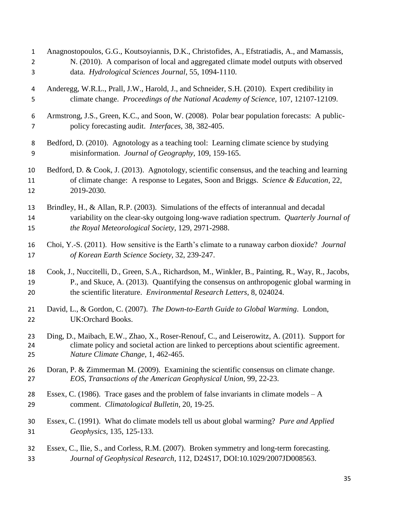| $\mathbf 1$    | Anagnostopoulos, G.G., Koutsoyiannis, D.K., Christofides, A., Efstratiadis, A., and Mamassis,        |
|----------------|------------------------------------------------------------------------------------------------------|
| $\overline{2}$ | N. (2010). A comparison of local and aggregated climate model outputs with observed                  |
| 3              | data. Hydrological Sciences Journal, 55, 1094-1110.                                                  |
| 4              | Anderegg, W.R.L., Prall, J.W., Harold, J., and Schneider, S.H. (2010). Expert credibility in         |
| 5              | climate change. Proceedings of the National Academy of Science, 107, 12107-12109.                    |
| 6              | Armstrong, J.S., Green, K.C., and Soon, W. (2008). Polar bear population forecasts: A public-        |
| 7              | policy forecasting audit. Interfaces, 38, 382-405.                                                   |
| 8              | Bedford, D. (2010). Agnotology as a teaching tool: Learning climate science by studying              |
| 9              | misinformation. Journal of Geography, 109, 159-165.                                                  |
| 10             | Bedford, D. & Cook, J. (2013). Agnotology, scientific consensus, and the teaching and learning       |
| 11             | of climate change: A response to Legates, Soon and Briggs. Science & Education, 22,                  |
| 12             | 2019-2030.                                                                                           |
| 13             | Brindley, H., & Allan, R.P. (2003). Simulations of the effects of interannual and decadal            |
| 14             | variability on the clear-sky outgoing long-wave radiation spectrum. Quarterly Journal of             |
| 15             | the Royal Meteorological Society, 129, 2971-2988.                                                    |
| 16             | Choi, Y.-S. (2011). How sensitive is the Earth's climate to a runaway carbon dioxide? <i>Journal</i> |
| 17             | of Korean Earth Science Society, 32, 239-247.                                                        |
| 18             | Cook, J., Nuccitelli, D., Green, S.A., Richardson, M., Winkler, B., Painting, R., Way, R., Jacobs,   |
| 19             | P., and Skuce, A. (2013). Quantifying the consensus on anthropogenic global warming in               |
| 20             | the scientific literature. Environmental Research Letters, 8, 024024.                                |
| 21             | David, L., & Gordon, C. (2007). The Down-to-Earth Guide to Global Warming. London,                   |
| 22             | UK:Orchard Books.                                                                                    |
| 23             | Ding, D., Maibach, E.W., Zhao, X., Roser-Renouf, C., and Leiserowitz, A. (2011). Support for         |
| 24             | climate policy and societal action are linked to perceptions about scientific agreement.             |
| 25             | Nature Climate Change, 1, 462-465.                                                                   |
| 26             | Doran, P. & Zimmerman M. (2009). Examining the scientific consensus on climate change.               |
| 27             | EOS, Transactions of the American Geophysical Union, 99, 22-23.                                      |
| 28             | Essex, C. (1986). Trace gases and the problem of false invariants in climate models $-A$             |
| 29             | comment. Climatological Bulletin, 20, 19-25.                                                         |
| 30             | Essex, C. (1991). What do climate models tell us about global warming? Pure and Applied              |
| 31             | Geophysics, 135, 125-133.                                                                            |
| 32             | Essex, C., Ilie, S., and Corless, R.M. (2007). Broken symmetry and long-term forecasting.            |
| 33             | Journal of Geophysical Research, 112, D24S17, DOI:10.1029/2007JD008563.                              |
|                |                                                                                                      |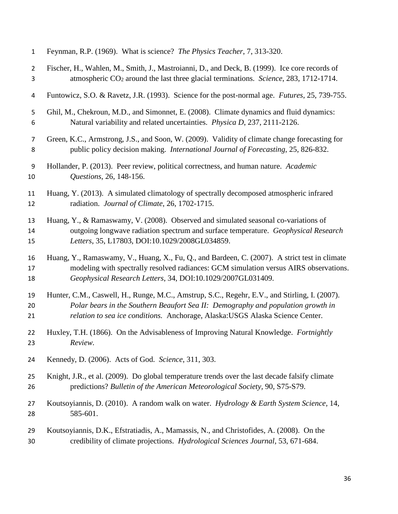| $\mathbf{1}$   | Feynman, R.P. (1969). What is science? The Physics Teacher, 7, 313-320.                          |  |  |  |  |
|----------------|--------------------------------------------------------------------------------------------------|--|--|--|--|
| $\overline{2}$ | Fischer, H., Wahlen, M., Smith, J., Mastroianni, D., and Deck, B. (1999). Ice core records of    |  |  |  |  |
| 3              | atmospheric CO <sub>2</sub> around the last three glacial terminations. Science, 283, 1712-1714. |  |  |  |  |
| $\overline{a}$ | Funtowicz, S.O. & Ravetz, J.R. (1993). Science for the post-normal age. Futures, 25, 739-755.    |  |  |  |  |
| 5              | Ghil, M., Chekroun, M.D., and Simonnet, E. (2008). Climate dynamics and fluid dynamics:          |  |  |  |  |
| 6              | Natural variability and related uncertainties. Physica D, 237, 2111-2126.                        |  |  |  |  |
| $\overline{7}$ | Green, K.C., Armstrong, J.S., and Soon, W. (2009). Validity of climate change forecasting for    |  |  |  |  |
| 8              | public policy decision making. International Journal of Forecasting, 25, 826-832.                |  |  |  |  |
| 9              | Hollander, P. (2013). Peer review, political correctness, and human nature. Academic             |  |  |  |  |
| 10             | Questions, 26, 148-156.                                                                          |  |  |  |  |
| 11             | Huang, Y. (2013). A simulated climatology of spectrally decomposed atmospheric infrared          |  |  |  |  |
| 12             | radiation. Journal of Climate, 26, 1702-1715.                                                    |  |  |  |  |
| 13             | Huang, Y., & Ramaswamy, V. (2008). Observed and simulated seasonal co-variations of              |  |  |  |  |
| 14             | outgoing longwave radiation spectrum and surface temperature. Geophysical Research               |  |  |  |  |
| 15             | Letters, 35, L17803, DOI:10.1029/2008GL034859.                                                   |  |  |  |  |
| 16             | Huang, Y., Ramaswamy, V., Huang, X., Fu, Q., and Bardeen, C. (2007). A strict test in climate    |  |  |  |  |
| 17             | modeling with spectrally resolved radiances: GCM simulation versus AIRS observations.            |  |  |  |  |
| 18             | Geophysical Research Letters, 34, DOI:10.1029/2007GL031409.                                      |  |  |  |  |
| 19             | Hunter, C.M., Caswell, H., Runge, M.C., Amstrup, S.C., Regehr, E.V., and Stirling, I. (2007).    |  |  |  |  |
| 20             | Polar bears in the Southern Beaufort Sea II: Demography and population growth in                 |  |  |  |  |
| 21             | relation to sea ice conditions. Anchorage, Alaska: USGS Alaska Science Center.                   |  |  |  |  |
| 22             | Huxley, T.H. (1866). On the Advisableness of Improving Natural Knowledge. Fortnightly            |  |  |  |  |
| 23             | Review.                                                                                          |  |  |  |  |
| 24             | Kennedy, D. (2006). Acts of God. Science, 311, 303.                                              |  |  |  |  |
| 25             | Knight, J.R., et al. (2009). Do global temperature trends over the last decade falsify climate   |  |  |  |  |
| 26             | predictions? Bulletin of the American Meteorological Society, 90, S75-S79.                       |  |  |  |  |
| 27             | Koutsoyiannis, D. (2010). A random walk on water. Hydrology & Earth System Science, 14,          |  |  |  |  |
| 28             | 585-601.                                                                                         |  |  |  |  |
| 29             | Koutsoyiannis, D.K., Efstratiadis, A., Mamassis, N., and Christofides, A. (2008). On the         |  |  |  |  |
| 30             | credibility of climate projections. Hydrological Sciences Journal, 53, 671-684.                  |  |  |  |  |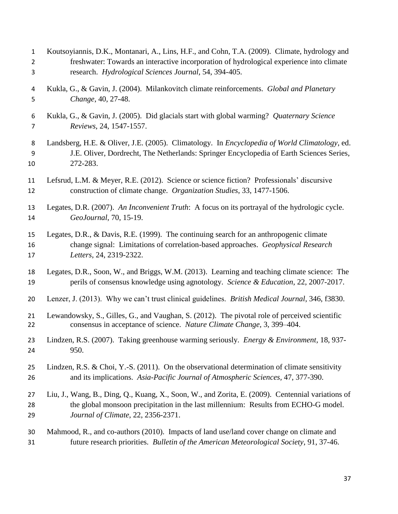| $\mathbf{1}$   | Koutsoyiannis, D.K., Montanari, A., Lins, H.F., and Cohn, T.A. (2009). Climate, hydrology and           |
|----------------|---------------------------------------------------------------------------------------------------------|
| $\overline{2}$ | freshwater: Towards an interactive incorporation of hydrological experience into climate                |
| 3              | research. Hydrological Sciences Journal, 54, 394-405.                                                   |
| 4              | Kukla, G., & Gavin, J. (2004). Milankovitch climate reinforcements. Global and Planetary                |
| 5              | Change, 40, 27-48.                                                                                      |
| 6              | Kukla, G., & Gavin, J. (2005). Did glacials start with global warming? Quaternary Science               |
| 7              | Reviews, 24, 1547-1557.                                                                                 |
| 8              | Landsberg, H.E. & Oliver, J.E. (2005). Climatology. In Encyclopedia of World Climatology, ed.           |
| 9              | J.E. Oliver, Dordrecht, The Netherlands: Springer Encyclopedia of Earth Sciences Series,                |
| 10             | 272-283.                                                                                                |
| 11             | Lefsrud, L.M. & Meyer, R.E. (2012). Science or science fiction? Professionals' discursive               |
| 12             | construction of climate change. Organization Studies, 33, 1477-1506.                                    |
| 13             | Legates, D.R. (2007). An Inconvenient Truth: A focus on its portrayal of the hydrologic cycle.          |
| 14             | GeoJournal, 70, 15-19.                                                                                  |
| 15             | Legates, D.R., & Davis, R.E. (1999). The continuing search for an anthropogenic climate                 |
| 16             | change signal: Limitations of correlation-based approaches. Geophysical Research                        |
| 17             | Letters, 24, 2319-2322.                                                                                 |
| 18             | Legates, D.R., Soon, W., and Briggs, W.M. (2013). Learning and teaching climate science: The            |
| 19             | perils of consensus knowledge using agnotology. Science & Education, 22, 2007-2017.                     |
| 20             | Lenzer, J. (2013). Why we can't trust clinical guidelines. <i>British Medical Journal</i> , 346, f3830. |
| 21             | Lewandowsky, S., Gilles, G., and Vaughan, S. (2012). The pivotal role of perceived scientific           |
| 22             | consensus in acceptance of science. Nature Climate Change, 3, 399-404.                                  |
| 23             | Lindzen, R.S. (2007). Taking greenhouse warming seriously. Energy & Environment, 18, 937-               |
| 24             | 950.                                                                                                    |
| 25             | Lindzen, R.S. & Choi, Y.-S. $(2011)$ . On the observational determination of climate sensitivity        |
| 26             | and its implications. Asia-Pacific Journal of Atmospheric Sciences, 47, 377-390.                        |
| 27             | Liu, J., Wang, B., Ding, Q., Kuang, X., Soon, W., and Zorita, E. (2009). Centennial variations of       |
| 28             | the global monsoon precipitation in the last millennium: Results from ECHO-G model.                     |
| 29             | Journal of Climate, 22, 2356-2371.                                                                      |
| 30             | Mahmood, R., and co-authors (2010). Impacts of land use/land cover change on climate and                |
| 31             | future research priorities. Bulletin of the American Meteorological Society, 91, 37-46.                 |
|                |                                                                                                         |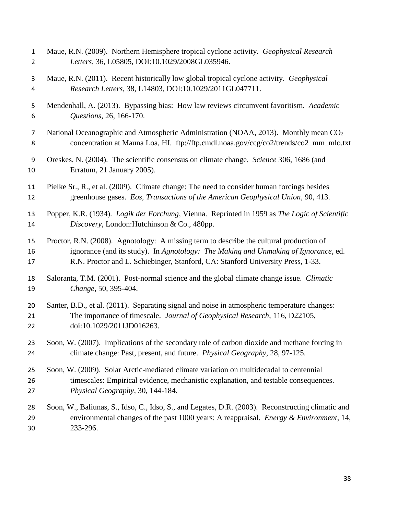| $\mathbf{1}$   | Maue, R.N. (2009). Northern Hemisphere tropical cyclone activity. Geophysical Research             |
|----------------|----------------------------------------------------------------------------------------------------|
| $\overline{2}$ | Letters, 36, L05805, DOI:10.1029/2008GL035946.                                                     |
| 3              | Maue, R.N. (2011). Recent historically low global tropical cyclone activity. Geophysical           |
| 4              | Research Letters, 38, L14803, DOI:10.1029/2011GL047711.                                            |
| 5              | Mendenhall, A. (2013). Bypassing bias: How law reviews circumvent favoritism. Academic             |
| 6              | Questions, 26, 166-170.                                                                            |
| $\overline{7}$ | National Oceanographic and Atmospheric Administration (NOAA, 2013). Monthly mean CO <sub>2</sub>   |
| 8              | concentration at Mauna Loa, HI. ftp://ftp.cmdl.noaa.gov/ccg/co2/trends/co2_mm_mlo.txt              |
| 9              | Oreskes, N. (2004). The scientific consensus on climate change. Science 306, 1686 (and             |
| 10             | Erratum, 21 January 2005).                                                                         |
| 11             | Pielke Sr., R., et al. (2009). Climate change: The need to consider human forcings besides         |
| 12             | greenhouse gases. Eos, Transactions of the American Geophysical Union, 90, 413.                    |
| 13             | Popper, K.R. (1934). Logik der Forchung, Vienna. Reprinted in 1959 as The Logic of Scientific      |
| 14             | Discovery, London: Hutchinson & Co., 480pp.                                                        |
| 15             | Proctor, R.N. (2008). Agnotology: A missing term to describe the cultural production of            |
| 16             | ignorance (and its study). In Agnotology: The Making and Unmaking of Ignorance, ed.                |
| 17             | R.N. Proctor and L. Schiebinger, Stanford, CA: Stanford University Press, 1-33.                    |
| 18             | Saloranta, T.M. (2001). Post-normal science and the global climate change issue. Climatic          |
| 19             | Change, 50, 395-404.                                                                               |
| 20             | Santer, B.D., et al. (2011). Separating signal and noise in atmospheric temperature changes:       |
| 21             | The importance of timescale. Journal of Geophysical Research, 116, D22105,                         |
| 22             | doi:10.1029/2011JD016263.                                                                          |
| 23             | Soon, W. (2007). Implications of the secondary role of carbon dioxide and methane forcing in       |
| 24             | climate change: Past, present, and future. Physical Geography, 28, 97-125.                         |
| 25             | Soon, W. (2009). Solar Arctic-mediated climate variation on multidecadal to centennial             |
| 26             | timescales: Empirical evidence, mechanistic explanation, and testable consequences.                |
| 27             | Physical Geography, 30, 144-184.                                                                   |
| 28             | Soon, W., Baliunas, S., Idso, C., Idso, S., and Legates, D.R. (2003). Reconstructing climatic and  |
| 29             | environmental changes of the past 1000 years: A reappraisal. <i>Energy &amp; Environment</i> , 14, |
| 30             | 233-296.                                                                                           |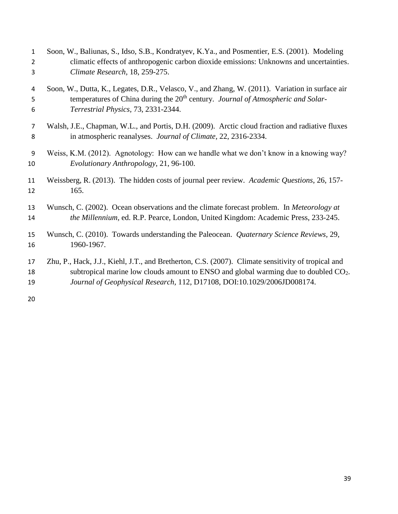| $\mathbf{1}$   | Soon, W., Baliunas, S., Idso, S.B., Kondratyev, K.Ya., and Posmentier, E.S. (2001). Modeling       |
|----------------|----------------------------------------------------------------------------------------------------|
| $\overline{2}$ | climatic effects of anthropogenic carbon dioxide emissions: Unknowns and uncertainties.            |
| 3              | Climate Research, 18, 259-275.                                                                     |
| 4              | Soon, W., Dutta, K., Legates, D.R., Velasco, V., and Zhang, W. (2011). Variation in surface air    |
| 5              | temperatures of China during the 20 <sup>th</sup> century. Journal of Atmospheric and Solar-       |
| 6              | Terrestrial Physics, 73, 2331-2344.                                                                |
| 7              | Walsh, J.E., Chapman, W.L., and Portis, D.H. (2009). Arctic cloud fraction and radiative fluxes    |
| 8              | in atmospheric reanalyses. Journal of Climate, 22, 2316-2334.                                      |
| 9              | Weiss, K.M. (2012). Agnotology: How can we handle what we don't know in a knowing way?             |
| 10             | Evolutionary Anthropology, 21, 96-100.                                                             |
| 11             | Weissberg, R. (2013). The hidden costs of journal peer review. Academic Questions, 26, 157-        |
| 12             | 165.                                                                                               |
| 13             | Wunsch, C. (2002). Ocean observations and the climate forecast problem. In Meteorology at          |
| 14             | the Millennium, ed. R.P. Pearce, London, United Kingdom: Academic Press, 233-245.                  |
| 15             | Wunsch, C. (2010). Towards understanding the Paleocean. Quaternary Science Reviews, 29,            |
| 16             | 1960-1967.                                                                                         |
| 17             | Zhu, P., Hack, J.J., Kiehl, J.T., and Bretherton, C.S. (2007). Climate sensitivity of tropical and |
| 18             | subtropical marine low clouds amount to ENSO and global warming due to doubled $CO2$ .             |
| 19             | Journal of Geophysical Research, 112, D17108, DOI:10.1029/2006JD008174.                            |
| 20             |                                                                                                    |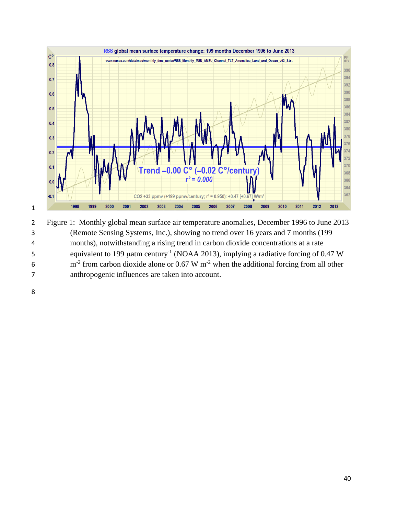

 Figure 1: Monthly global mean surface air temperature anomalies, December 1996 to June 2013 (Remote Sensing Systems, Inc.), showing no trend over 16 years and 7 months (199 months), notwithstanding a rising trend in carbon dioxide concentrations at a rate 5 equivalent to 199  $\mu$ atm century<sup>-1</sup> (NOAA 2013), implying a radiative forcing of 0.47 W 6  $\text{m}^2$  from carbon dioxide alone or 0.67 W  $\text{m}^2$  when the additional forcing from all other anthropogenic influences are taken into account.